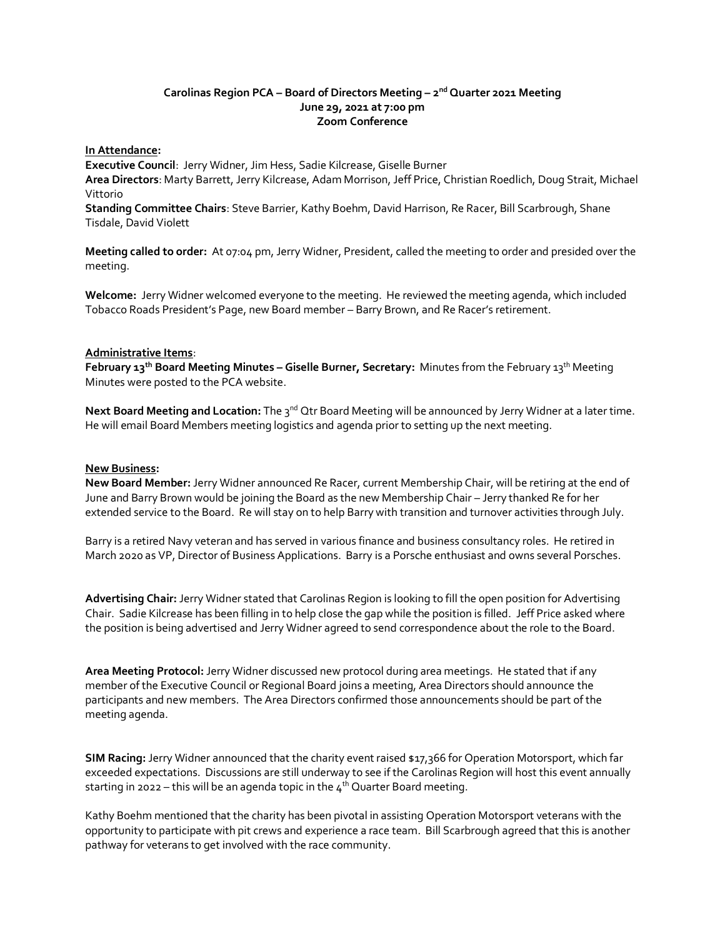# **Carolinas Region PCA – Board of Directors Meeting – 2 nd Quarter 2021 Meeting June 29, 2021 at 7:00 pm Zoom Conference**

### **In Attendance:**

**Executive Council**: Jerry Widner, Jim Hess, Sadie Kilcrease, Giselle Burner **Area Directors**: Marty Barrett, Jerry Kilcrease, Adam Morrison, Jeff Price, Christian Roedlich, Doug Strait, Michael Vittorio

**Standing Committee Chairs**: Steve Barrier, Kathy Boehm, David Harrison, Re Racer, Bill Scarbrough, Shane Tisdale, David Violett

**Meeting called to order:** At 07:04 pm, Jerry Widner, President, called the meeting to order and presided over the meeting.

**Welcome:** Jerry Widner welcomed everyone to the meeting. He reviewed the meeting agenda, which included Tobacco Roads President's Page, new Board member – Barry Brown, and Re Racer's retirement.

### **Administrative Items**:

**February 13 th Board Meeting Minutes – Giselle Burner, Secretary:** Minutes from the February 13 th Meeting Minutes were posted to the PCA website.

Next Board Meeting and Location: The 3<sup>nd</sup> Qtr Board Meeting will be announced by Jerry Widner at a later time. He will email Board Members meeting logistics and agenda prior to setting up the next meeting.

#### **New Business:**

**New Board Member:** Jerry Widner announced Re Racer, current Membership Chair, will be retiring at the end of June and Barry Brown would be joining the Board as the new Membership Chair – Jerry thanked Re for her extended service to the Board. Re will stay on to help Barry with transition and turnover activities through July.

Barry is a retired Navy veteran and has served in various finance and business consultancy roles. He retired in March 2020 as VP, Director of Business Applications. Barry is a Porsche enthusiast and owns several Porsches.

**Advertising Chair:** Jerry Widner stated that Carolinas Region is looking to fill the open position for Advertising Chair. Sadie Kilcrease has been filling in to help close the gap while the position is filled. Jeff Price asked where the position is being advertised and Jerry Widner agreed to send correspondence about the role to the Board.

**Area Meeting Protocol:** Jerry Widner discussed new protocol during area meetings. He stated that if any member of the Executive Council or Regional Board joins a meeting, Area Directors should announce the participants and new members. The Area Directors confirmed those announcements should be part of the meeting agenda.

**SIM Racing:** Jerry Widner announced that the charity event raised \$17,366 for Operation Motorsport, which far exceeded expectations. Discussions are still underway to see if the Carolinas Region will host this event annually starting in 2022 – this will be an agenda topic in the  $4<sup>th</sup>$  Quarter Board meeting.

Kathy Boehm mentioned that the charity has been pivotal in assisting Operation Motorsport veterans with the opportunity to participate with pit crews and experience a race team. Bill Scarbrough agreed that this is another pathway for veterans to get involved with the race community.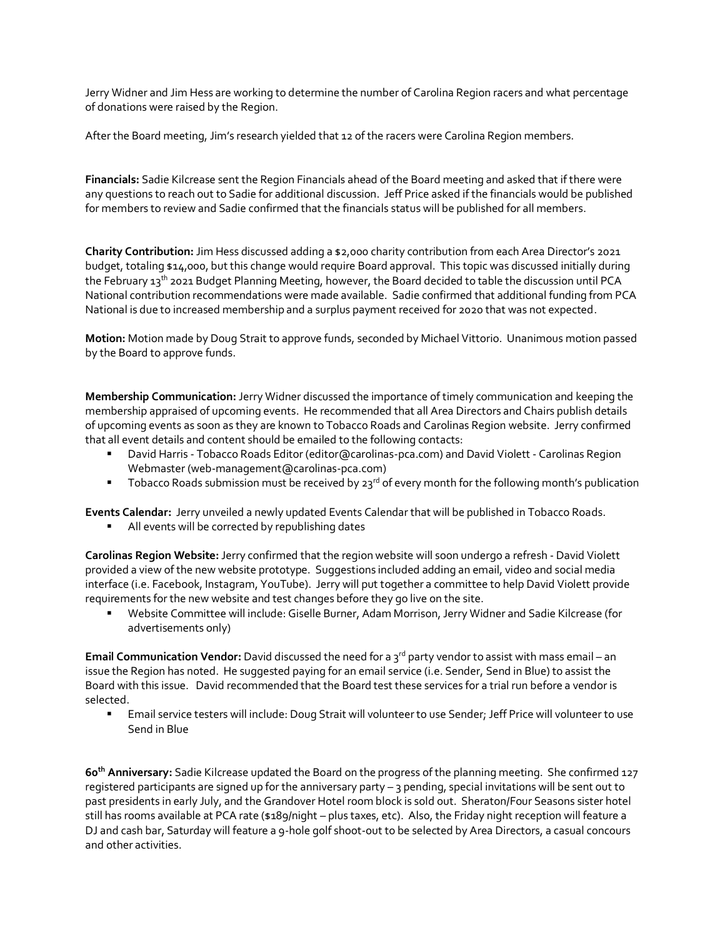Jerry Widner and Jim Hess are working to determine the number of Carolina Region racers and what percentage of donations were raised by the Region.

After the Board meeting, Jim's research yielded that 12 of the racers were Carolina Region members.

**Financials:** Sadie Kilcrease sent the Region Financials ahead of the Board meeting and asked that if there were any questions to reach out to Sadie for additional discussion. Jeff Price asked if the financials would be published for members to review and Sadie confirmed that the financials status will be published for all members.

**Charity Contribution:**Jim Hess discussed adding a \$2,000 charity contribution from each Area Director's 2021 budget, totaling \$14,000, but this change would require Board approval. This topic was discussed initially during the February 13<sup>th</sup> 2021 Budget Planning Meeting, however, the Board decided to table the discussion until PCA National contribution recommendations were made available. Sadie confirmed that additional funding from PCA National is due to increased membership and a surplus payment received for 2020 that was not expected.

**Motion:** Motion made by Doug Strait to approve funds, seconded by Michael Vittorio. Unanimous motion passed by the Board to approve funds.

**Membership Communication:** Jerry Widner discussed the importance of timely communication and keeping the membership appraised of upcoming events. He recommended that all Area Directors and Chairs publish details of upcoming events as soon as they are known to Tobacco Roads and Carolinas Region website. Jerry confirmed that all event details and content should be emailed to the following contacts:

- David Harris Tobacco Roads Editor (editor@carolinas-pca.com) and David Violett Carolinas Region Webmaster (web-management@carolinas-pca.com)
- **•** Tobacco Roads submission must be received by  $23^{rd}$  of every month for the following month's publication

**Events Calendar:** Jerry unveiled a newly updated Events Calendar that will be published in Tobacco Roads. ■ All events will be corrected by republishing dates

**Carolinas Region Website:** Jerry confirmed that the region website will soon undergo a refresh - David Violett provided a view of the new website prototype. Suggestions included adding an email, video and social media interface (i.e. Facebook, Instagram, YouTube). Jerry will put together a committee to help David Violett provide requirements for the new website and test changes before they go live on the site.

Website Committee will include: Giselle Burner, Adam Morrison, Jerry Widner and Sadie Kilcrease (for advertisements only)

**Email Communication Vendor:** David discussed the need for a 3<sup>rd</sup> party vendor to assist with mass email – an issue the Region has noted. He suggested paying for an email service (i.e. Sender, Send in Blue) to assist the Board with this issue. David recommended that the Board test these services for a trial run before a vendor is selected.

**Email service testers will include: Doug Strait will volunteer to use Sender; Jeff Price will volunteer to use** Send in Blue

**60th Anniversary:** Sadie Kilcrease updated the Board on the progress of the planning meeting. She confirmed 127 registered participants are signed up for the anniversary party – 3 pending, special invitations will be sent out to past presidents in early July, and the Grandover Hotel room block is sold out. Sheraton/Four Seasons sister hotel still has rooms available at PCA rate (\$189/night – plus taxes, etc). Also, the Friday night reception will feature a DJ and cash bar, Saturday will feature a 9-hole golf shoot-out to be selected by Area Directors, a casual concours and other activities.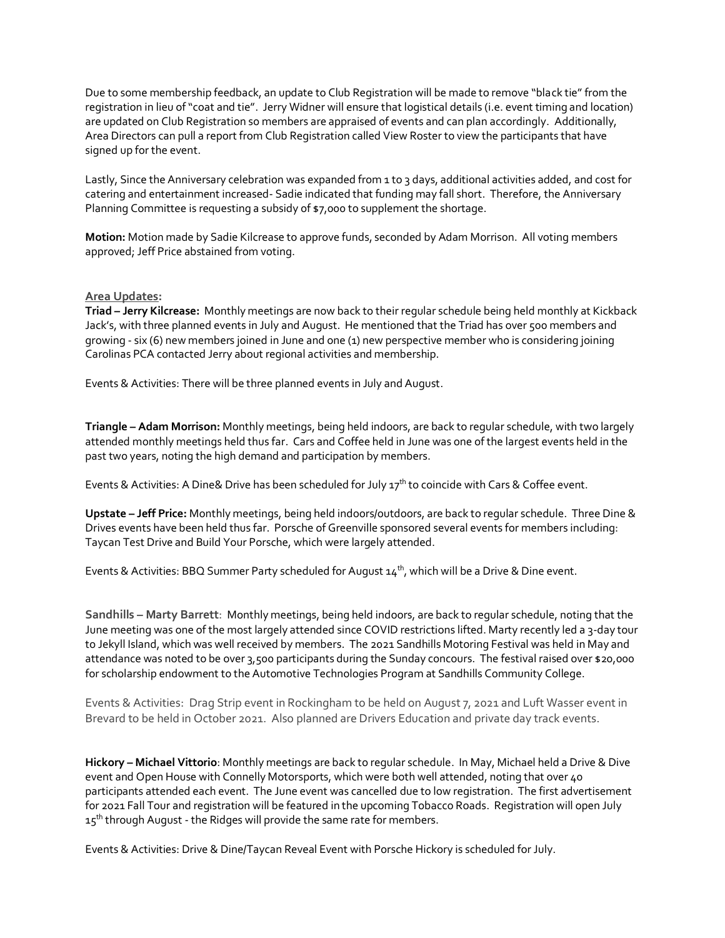Due to some membership feedback, an update to Club Registration will be made to remove "black tie" from the registration in lieu of "coat and tie". Jerry Widner will ensure that logistical details (i.e. event timing and location) are updated on Club Registration so members are appraised of events and can plan accordingly. Additionally, Area Directors can pull a report from Club Registration called View Roster to view the participants that have signed up for the event.

Lastly, Since the Anniversary celebration was expanded from 1 to 3 days, additional activities added, and cost for catering and entertainment increased- Sadie indicated that funding may fall short. Therefore, the Anniversary Planning Committee is requesting a subsidy of \$7,000 to supplement the shortage.

**Motion:** Motion made by Sadie Kilcrease to approve funds, seconded by Adam Morrison. All voting members approved; Jeff Price abstained from voting.

# **Area Updates:**

**Triad – Jerry Kilcrease:** Monthly meetings are now back to their regular schedule being held monthly at Kickback Jack's, with three planned events in July and August. He mentioned that the Triad has over 500 members and growing - six (6) new members joined in June and one (1) new perspective member who is considering joining Carolinas PCA contacted Jerry about regional activities and membership.

Events & Activities: There will be three planned events in July and August.

**Triangle – Adam Morrison:** Monthly meetings, being held indoors, are back to regular schedule, with two largely attended monthly meetings held thus far. Cars and Coffee held in June was one of the largest events held in the past two years, noting the high demand and participation by members.

Events & Activities: A Dine& Drive has been scheduled for July 17<sup>th</sup> to coincide with Cars & Coffee event.

**Upstate – Jeff Price:** Monthly meetings, being held indoors/outdoors, are back to regular schedule. Three Dine & Drives events have been held thus far. Porsche of Greenville sponsored several events for members including: Taycan Test Drive and Build Your Porsche, which were largely attended.

Events & Activities: BBQ Summer Party scheduled for August  $14<sup>th</sup>$ , which will be a Drive & Dine event.

**Sandhills – Marty Barrett**: Monthly meetings, being held indoors, are back to regular schedule, noting that the June meeting was one of the most largely attended since COVID restrictions lifted. Marty recently led a 3-day tour to Jekyll Island, which was well received by members. The 2021 Sandhills Motoring Festival was held in May and attendance was noted to be over 3,500 participants during the Sunday concours. The festival raised over \$20,000 for scholarship endowment to the Automotive Technologies Program at Sandhills Community College.

Events & Activities: Drag Strip event in Rockingham to be held on August 7, 2021 and Luft Wasser event in Brevard to be held in October 2021. Also planned are Drivers Education and private day track events.

**Hickory – Michael Vittorio**: Monthly meetings are back to regular schedule. In May, Michael held a Drive & Dive event and Open House with Connelly Motorsports, which were both well attended, noting that over 40 participants attended each event. The June event was cancelled due to low registration. The first advertisement for 2021 Fall Tour and registration will be featured in the upcoming Tobacco Roads. Registration will open July 15<sup>th</sup> through August - the Ridges will provide the same rate for members.

Events & Activities: Drive & Dine/Taycan Reveal Event with Porsche Hickory is scheduled for July.